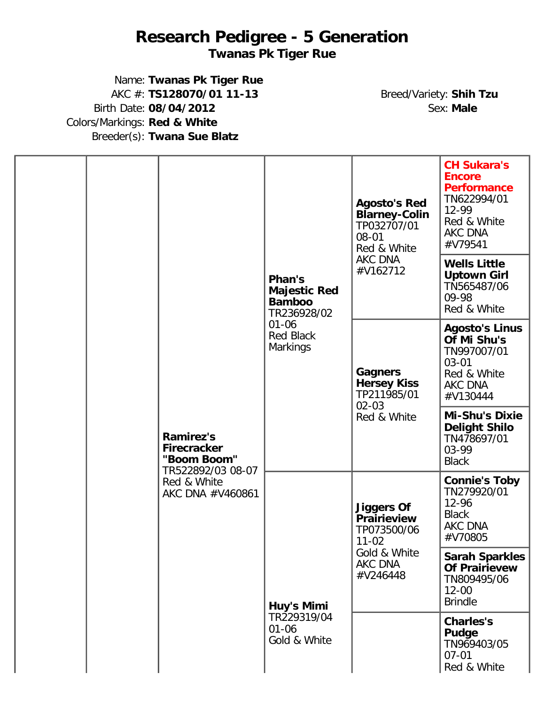## **Research Pedigree - 5 Generation**

## **Twanas Pk Tiger Rue**

Name: **Twanas Pk Tiger Rue** AKC #: **TS128070/01 11-13** Breed/Variety: **Shih Tzu** Birth Date: 08/04/2012 Colors/Markings: **Red & White** Breeder(s): **Twana Sue Blatz**

|  |                                                       |                                           | <b>Agosto's Red</b><br><b>Blarney-Colin</b><br>TP032707/01<br>08-01<br>Red & White | <b>CH Sukara's</b><br><b>Encore</b><br><b>Performance</b><br>TN622994/01<br>12-99<br>Red & White<br>AKC DNA<br>#V79541 |                                                                                        |
|--|-------------------------------------------------------|-------------------------------------------|------------------------------------------------------------------------------------|------------------------------------------------------------------------------------------------------------------------|----------------------------------------------------------------------------------------|
|  |                                                       |                                           | Phan's<br><b>Majestic Red</b><br><b>Bamboo</b><br>TR236928/02                      | AKC DNA<br>#V162712                                                                                                    | <b>Wells Little</b><br><b>Uptown Girl</b><br>TN565487/06<br>09-98<br>Red & White       |
|  | <b>Ramirez's</b><br><b>Firecracker</b><br>"Boom Boom" | $01 - 06$<br><b>Red Black</b><br>Markings | <b>Gagners</b><br><b>Hersey Kiss</b><br>TP211985/01                                | <b>Agosto's Linus</b><br>Of Mi Shu's<br>TN997007/01<br>$03 - 01$<br>Red & White<br>AKC DNA<br>#V130444                 |                                                                                        |
|  |                                                       | TR522892/03 08-07                         |                                                                                    | $02 - 03$<br>Red & White                                                                                               | <b>Mi-Shu's Dixie</b><br><b>Delight Shilo</b><br>TN478697/01<br>03-99<br><b>Black</b>  |
|  |                                                       | Red & White<br>AKC DNA #V460861           |                                                                                    | <b>Jiggers Of</b><br><b>Prairieview</b><br>TP073500/06<br>$11 - 02$                                                    | <b>Connie's Toby</b><br>TN279920/01<br>$12 - 96$<br><b>Black</b><br>AKC DNA<br>#V70805 |
|  |                                                       | Huy's Mimi                                | Gold & White<br>AKC DNA<br>#V246448                                                | <b>Sarah Sparkles</b><br><b>Of Prairievew</b><br>TN809495/06<br>$12 - 00$<br><b>Brindle</b>                            |                                                                                        |
|  |                                                       |                                           | TR229319/04<br>$01 - 06$<br>Gold & White                                           |                                                                                                                        | <b>Charles's</b><br><b>Pudge</b><br>TN969403/05<br>$07 - 01$<br>Red & White            |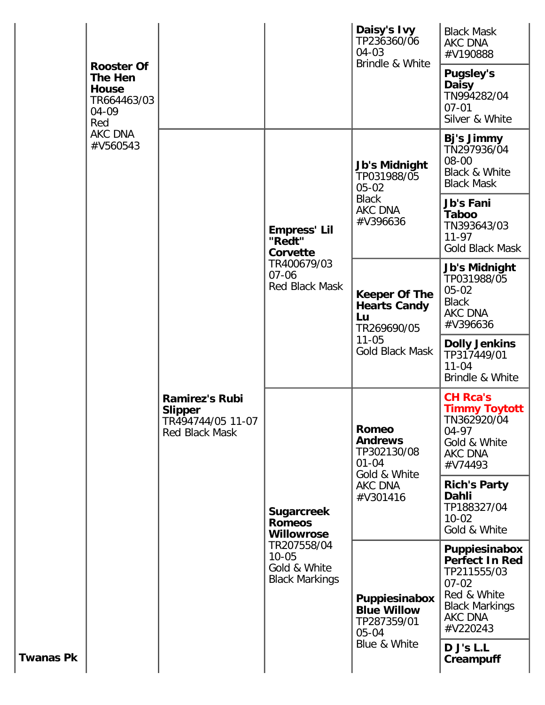| Red              | <b>Rooster Of</b><br><b>The Hen</b><br><b>House</b><br>TR664463/03<br>04-09<br><b>AKC DNA</b><br>#V560543 |                                                                                |                                                                                                                              | Daisy's Ivy<br>TP236360/06<br>$04 - 03$<br>Brindle & White                                       | <b>Black Mask</b><br>AKC DNA<br>#V190888<br><b>Pugsley's</b><br><b>Daisy</b><br>TN994282/04<br>$07 - 01$<br>Silver & White        |
|------------------|-----------------------------------------------------------------------------------------------------------|--------------------------------------------------------------------------------|------------------------------------------------------------------------------------------------------------------------------|--------------------------------------------------------------------------------------------------|-----------------------------------------------------------------------------------------------------------------------------------|
|                  |                                                                                                           | <b>Ramirez's Rubi</b><br><b>Slipper</b><br>TR494744/05 11-07<br>Red Black Mask | <b>Empress' Lil</b><br>"Redt"<br>Corvette<br>TR400679/03<br>$07 - 06$<br><b>Red Black Mask</b>                               | <b>Jb's Midnight</b><br>TP031988/05<br>$05 - 02$<br><b>Black</b><br>AKC DNA                      | Bj's Jimmy<br>TN297936/04<br>08-00<br>Black & White<br><b>Black Mask</b><br><b>Jb's Fani</b><br><b>Taboo</b>                      |
|                  |                                                                                                           |                                                                                |                                                                                                                              | #V396636                                                                                         | TN393643/03<br>$11 - 97$<br><b>Gold Black Mask</b>                                                                                |
|                  |                                                                                                           |                                                                                |                                                                                                                              | <b>Keeper Of The</b><br><b>Hearts Candy</b><br>Lu<br>TR269690/05<br>$11 - 05$<br>Gold Black Mask | <b>Jb's Midnight</b><br>TP031988/05<br>$05 - 02$<br><b>Black</b><br><b>AKC DNA</b><br>#V396636                                    |
|                  |                                                                                                           |                                                                                |                                                                                                                              |                                                                                                  | <b>Dolly Jenkins</b><br>TP317449/01<br>$11 - 04$<br>Brindle & White                                                               |
|                  |                                                                                                           |                                                                                | <b>Sugarcreek</b><br><b>Romeos</b><br><b>Willowrose</b><br>TR207558/04<br>$10 - 05$<br>Gold & White<br><b>Black Markings</b> | Romeo<br><b>Andrews</b><br>TP302130/08<br>$01 - 04$<br>Gold & White<br>AKC DNA<br>#V301416       | <b>CH Rca's</b><br><b>Timmy Toytott</b><br>TN362920/04<br>$04 - 97$<br>Gold & White<br>AKC DNA<br>#V74493                         |
|                  |                                                                                                           |                                                                                |                                                                                                                              |                                                                                                  | <b>Rich's Party</b><br>Dahli<br>TP188327/04<br>$10 - 02$<br>Gold & White                                                          |
|                  |                                                                                                           |                                                                                |                                                                                                                              | Puppiesinabox<br><b>Blue Willow</b><br>TP287359/01<br>$05 - 04$<br>Blue & White                  | Puppiesinabox<br><b>Perfect In Red</b><br>TP211555/03<br>$07 - 02$<br>Red & White<br><b>Black Markings</b><br>AKC DNA<br>#V220243 |
| <b>Twanas Pk</b> |                                                                                                           |                                                                                |                                                                                                                              |                                                                                                  | D J's L.L<br><b>Creampuff</b>                                                                                                     |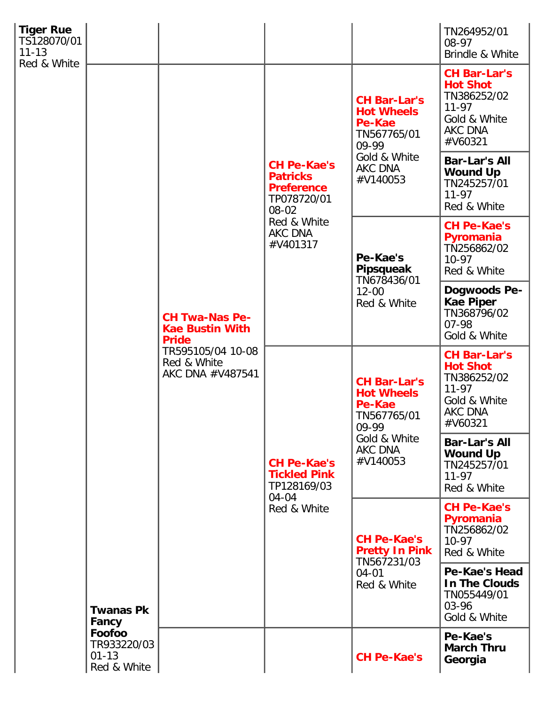| <b>Tiger Rue</b><br>TS128070/01<br>$11 - 13$<br>Red & White |                                                   |                                                                                                                         |                                                                                                                          |                                                                                                                   | TN264952/01<br>08-97<br>Brindle & White                                                                  |
|-------------------------------------------------------------|---------------------------------------------------|-------------------------------------------------------------------------------------------------------------------------|--------------------------------------------------------------------------------------------------------------------------|-------------------------------------------------------------------------------------------------------------------|----------------------------------------------------------------------------------------------------------|
|                                                             | <b>Twanas Pk</b><br>Fancy                         | <b>CH Twa-Nas Pe-</b><br><b>Kae Bustin With</b><br><b>Pride</b><br>TR595105/04 10-08<br>Red & White<br>AKC DNA #V487541 | <b>CH Pe-Kae's</b><br><b>Patricks</b><br><b>Preference</b><br>TP078720/01<br>08-02<br>Red & White<br>AKC DNA<br>#V401317 | <b>CH Bar-Lar's</b><br><b>Hot Wheels</b><br>Pe-Kae<br>TN567765/01<br>09-99<br>Gold & White<br>AKC DNA<br>#V140053 | <b>CH Bar-Lar's</b><br><b>Hot Shot</b><br>TN386252/02<br>$11 - 97$<br>Gold & White<br>AKC DNA<br>#V60321 |
|                                                             |                                                   |                                                                                                                         |                                                                                                                          |                                                                                                                   | <b>Bar-Lar's All</b><br><b>Wound Up</b><br>TN245257/01<br>$11 - 97$<br>Red & White                       |
|                                                             |                                                   |                                                                                                                         |                                                                                                                          | Pe-Kae's<br>Pipsqueak<br>TN678436/01<br>$12 - 00$<br>Red & White                                                  | <b>CH Pe-Kae's</b><br>Pyromania<br>TN256862/02<br>$10-97$<br>Red & White                                 |
|                                                             |                                                   |                                                                                                                         |                                                                                                                          |                                                                                                                   | Dogwoods Pe-<br><b>Kae Piper</b><br>TN368796/02<br>$07 - 98$<br>Gold & White                             |
|                                                             |                                                   |                                                                                                                         | <b>CH Pe-Kae's</b><br><b>Tickled Pink</b><br>TP128169/03<br>04-04<br>Red & White                                         | <b>CH Bar-Lar's</b><br><b>Hot Wheels</b><br>Pe-Kae<br>TN567765/01<br>09-99<br>Gold & White<br>AKC DNA<br>#V140053 | <b>CH Bar-Lar's</b><br><b>Hot Shot</b><br>TN386252/02<br>$11 - 97$<br>Gold & White<br>AKC DNA<br>#V60321 |
|                                                             |                                                   |                                                                                                                         |                                                                                                                          |                                                                                                                   | <b>Bar-Lar's All</b><br><b>Wound Up</b><br>TN245257/01<br>$11 - 97$<br>Red & White                       |
|                                                             |                                                   |                                                                                                                         |                                                                                                                          | <b>CH Pe-Kae's</b><br><b>Pretty In Pink</b><br>TN567231/03<br>$04 - 01$<br>Red & White                            | <b>CH Pe-Kae's</b><br>Pyromania<br>TN256862/02<br>$10-97$<br>Red & White                                 |
|                                                             |                                                   |                                                                                                                         |                                                                                                                          |                                                                                                                   | Pe-Kae's Head<br>In The Clouds<br>TN055449/01<br>03-96<br>Gold & White                                   |
|                                                             | Foofoo<br>TR933220/03<br>$01 - 13$<br>Red & White |                                                                                                                         |                                                                                                                          | <b>CH Pe-Kae's</b>                                                                                                | Pe-Kae's<br><b>March Thru</b><br>Georgia                                                                 |